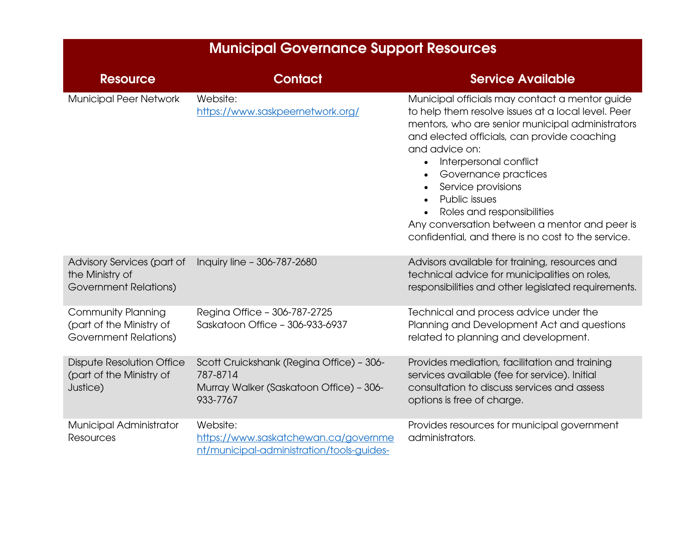| <b>Municipal Governance Support Resources</b>                                         |                                                                                                             |                                                                                                                                                                                                                                                                                                                                                                                                                                                         |  |
|---------------------------------------------------------------------------------------|-------------------------------------------------------------------------------------------------------------|---------------------------------------------------------------------------------------------------------------------------------------------------------------------------------------------------------------------------------------------------------------------------------------------------------------------------------------------------------------------------------------------------------------------------------------------------------|--|
| <b>Resource</b>                                                                       | <b>Contact</b>                                                                                              | <b>Service Available</b>                                                                                                                                                                                                                                                                                                                                                                                                                                |  |
| Municipal Peer Network                                                                | Website:<br>https://www.saskpeernetwork.org/                                                                | Municipal officials may contact a mentor guide<br>to help them resolve issues at a local level. Peer<br>mentors, who are senior municipal administrators<br>and elected officials, can provide coaching<br>and advice on:<br>Interpersonal conflict<br>Governance practices<br>Service provisions<br>Public issues<br>Roles and responsibilities<br>Any conversation between a mentor and peer is<br>confidential, and there is no cost to the service. |  |
| Advisory Services (part of<br>the Ministry of<br>Government Relations)                | Inquiry line - 306-787-2680                                                                                 | Advisors available for training, resources and<br>technical advice for municipalities on roles,<br>responsibilities and other legislated requirements.                                                                                                                                                                                                                                                                                                  |  |
| <b>Community Planning</b><br>(part of the Ministry of<br><b>Government Relations)</b> | Regina Office - 306-787-2725<br>Saskatoon Office - 306-933-6937                                             | Technical and process advice under the<br>Planning and Development Act and questions<br>related to planning and development.                                                                                                                                                                                                                                                                                                                            |  |
| <b>Dispute Resolution Office</b><br>(part of the Ministry of<br>Justice)              | Scott Cruickshank (Regina Office) - 306-<br>787-8714<br>Murray Walker (Saskatoon Office) - 306-<br>933-7767 | Provides mediation, facilitation and training<br>services available (fee for service). Initial<br>consultation to discuss services and assess<br>options is free of charge.                                                                                                                                                                                                                                                                             |  |
| Municipal Administrator<br><b>Resources</b>                                           | Website:<br>https://www.saskatchewan.ca/governme<br>nt/municipal-administration/tools-guides-               | Provides resources for municipal government<br>administrators.                                                                                                                                                                                                                                                                                                                                                                                          |  |